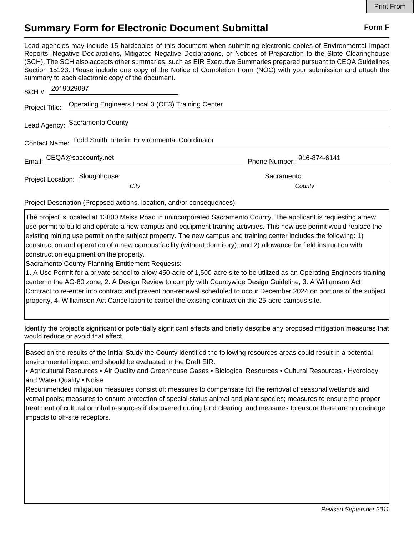## **Summary Form for Electronic Document Submittal Form F Form F**

Lead agencies may include 15 hardcopies of this document when submitting electronic copies of Environmental Impact Reports, Negative Declarations, Mitigated Negative Declarations, or Notices of Preparation to the State Clearinghouse (SCH). The SCH also accepts other summaries, such as EIR Executive Summaries prepared pursuant to CEQA Guidelines Section 15123. Please include one copy of the Notice of Completion Form (NOC) with your submission and attach the summary to each electronic copy of the document.

| SCH #: 2019029097                                           |                                                                  |                            |
|-------------------------------------------------------------|------------------------------------------------------------------|----------------------------|
|                                                             | Project Title: Operating Engineers Local 3 (OE3) Training Center |                            |
|                                                             | Lead Agency: Sacramento County                                   |                            |
| Contact Name: Todd Smith, Interim Environmental Coordinator |                                                                  |                            |
| Email: CEQA@saccounty.net                                   |                                                                  | Phone Number: 916-874-6141 |
| Project Location: Sloughhouse                               |                                                                  | Sacramento                 |
|                                                             | City                                                             | County                     |

Project Description (Proposed actions, location, and/or consequences).

The project is located at 13800 Meiss Road in unincorporated Sacramento County. The applicant is requesting a new use permit to build and operate a new campus and equipment training activities. This new use permit would replace the existing mining use permit on the subject property. The new campus and training center includes the following: 1) construction and operation of a new campus facility (without dormitory); and 2) allowance for field instruction with construction equipment on the property.

Sacramento County Planning Entitlement Requests:

1. A Use Permit for a private school to allow 450-acre of 1,500-acre site to be utilized as an Operating Engineers training center in the AG-80 zone, 2. A Design Review to comply with Countywide Design Guideline, 3. A Williamson Act Contract to re-enter into contract and prevent non-renewal scheduled to occur December 2024 on portions of the subject property, 4. Williamson Act Cancellation to cancel the existing contract on the 25-acre campus site.

Identify the project's significant or potentially significant effects and briefly describe any proposed mitigation measures that would reduce or avoid that effect.

Based on the results of the Initial Study the County identified the following resources areas could result in a potential environmental impact and should be evaluated in the Draft EIR.

• Agricultural Resources • Air Quality and Greenhouse Gases • Biological Resources • Cultural Resources • Hydrology and Water Quality • Noise

Recommended mitigation measures consist of: measures to compensate for the removal of seasonal wetlands and vernal pools; measures to ensure protection of special status animal and plant species; measures to ensure the proper treatment of cultural or tribal resources if discovered during land clearing; and measures to ensure there are no drainage impacts to off-site receptors.